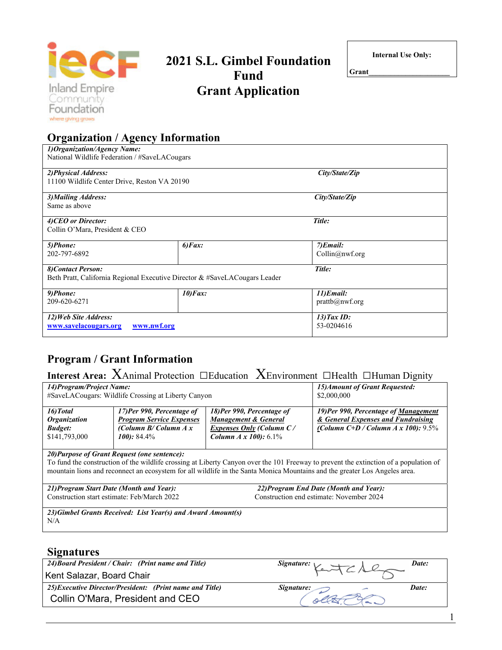

**Organization / Agency Information** 

# **2021 S.L. Gimbel Foundation Fund Grant Application**

**Internal Use Only:** 

**Grant\_\_\_\_\_\_\_\_\_\_\_\_\_\_\_\_\_\_\_\_\_\_** 

| 2) Physical Address:<br>11100 Wildlife Center Drive, Reston VA 20190 |                                                                            | City/State/Zip                         |  |
|----------------------------------------------------------------------|----------------------------------------------------------------------------|----------------------------------------|--|
| 3) Mailing Address:<br>Same as above                                 |                                                                            | City/State/Zip                         |  |
| 4) CEO or Director:<br>Collin O'Mara, President & CEO                |                                                                            | Title:                                 |  |
| 5)Phone:<br>202-797-6892                                             | $6)$ <i>Fax</i> :                                                          | $7)$ <i>Email</i> :<br>Collin@nwf.org  |  |
| 8) Contact Person:                                                   | Beth Pratt, California Regional Executive Director & #SaveLACougars Leader | Title:                                 |  |
| 9)Phone:<br>209-620-6271                                             | $10$ ) Fax:                                                                | $11)$ <i>Email</i> :<br>prattb@nwf.org |  |
| 12) Web Site Address:<br>www.savelacougars.org                       | www.nwf.org                                                                | $13)$ Tax ID:<br>53-0204616            |  |

# **Program / Grant Information**

# **Interest Area:** XAnimal Protection □Education XEnvironment □Health □Human Dignity

| 14) Program/Project Name:                                                  | #SaveLACougars: Wildlife Crossing at Liberty Canyon                                                        | 15) Amount of Grant Requested:<br>\$2,000,000                                                                |                                                                                                                      |
|----------------------------------------------------------------------------|------------------------------------------------------------------------------------------------------------|--------------------------------------------------------------------------------------------------------------|----------------------------------------------------------------------------------------------------------------------|
| 16) Total<br><i><b>Organization</b></i><br><b>Budget:</b><br>\$141,793,000 | 17)Per 990, Percentage of<br><b>Program Service Expenses</b><br>(Column $B/C$ olumn $A x$<br>$100$ : 84.4% | 18)Per 990, Percentage of<br>Management & General<br>Expenses Only (Column C/<br><b>Column A x 100:</b> 6.1% | 19)Per 990, Percentage of Management<br>& General Expenses and Fundraising<br>(Column C+D / Column A x 100): $9.5\%$ |

#### *20)Purpose of Grant Request (one sentence):*

To fund the construction of the wildlife crossing at Liberty Canyon over the 101 Freeway to prevent the extinction of a population of mountain lions and reconnect an ecosystem for all wildlife in the Santa Monica Mountains and the greater Los Angeles area.

#### *21)Program Start Date (Month and Year):* Construction start estimate: Feb/March 2022

*22)Program End Date (Month and Year):* Construction end estimate: November 2024

1

*23)Gimbel Grants Received: List Year(s) and Award Amount(s)* N/A

#### **Signatures**

| $\sim$ - $\sim$ $\sim$ $\sim$ $\sim$ $\sim$              |                                                         |       |
|----------------------------------------------------------|---------------------------------------------------------|-------|
| 24) Board President / Chair: (Print name and Title)      | Signature: $\vee$ $\Rightarrow$ $\rightarrow$ $\land$ Q | Date: |
| Kent Salazar, Board Chair                                |                                                         |       |
| 25) Executive Director/President: (Print name and Title) | Signature:                                              | Date: |
| Collin O'Mara, President and CEO                         |                                                         |       |
|                                                          |                                                         |       |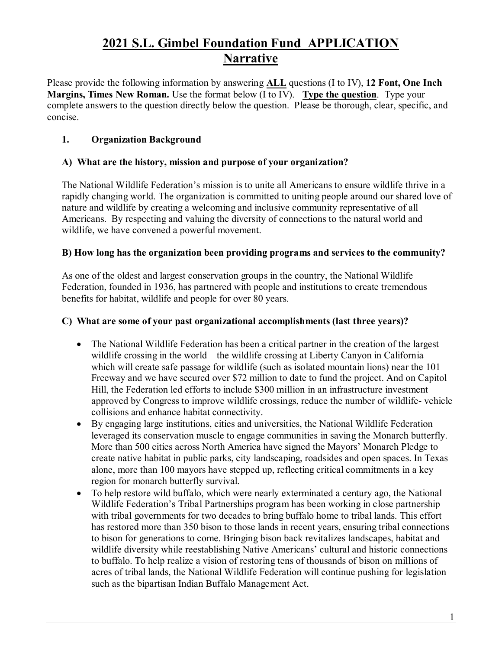# **2021 S.L. Gimbel Foundation Fund APPLICATION Narrative**

Please provide the following information by answering **ALL** questions (I to IV), **12 Font, One Inch Margins, Times New Roman.** Use the format below (I to IV). **Type the question**. Type your complete answers to the question directly below the question. Please be thorough, clear, specific, and concise.

# **1. Organization Background**

# **A) What are the history, mission and purpose of your organization?**

The National Wildlife Federation's mission is to unite all Americans to ensure wildlife thrive in a rapidly changing world. The organization is committed to uniting people around our shared love of nature and wildlife by creating a welcoming and inclusive community representative of all Americans. By respecting and valuing the diversity of connections to the natural world and wildlife, we have convened a powerful movement.

# **B) How long has the organization been providing programs and services to the community?**

As one of the oldest and largest conservation groups in the country, the National Wildlife Federation, founded in 1936, has partnered with people and institutions to create tremendous benefits for habitat, wildlife and people for over 80 years.

#### **C) What are some of your past organizational accomplishments (last three years)?**

- The National Wildlife Federation has been a critical partner in the creation of the largest wildlife crossing in the world—the wildlife crossing at Liberty Canyon in California which will create safe passage for wildlife (such as isolated mountain lions) near the 101 Freeway and we have secured over \$72 million to date to fund the project. And on Capitol Hill, the Federation led efforts to include \$300 million in an infrastructure investment approved by Congress to improve wildlife crossings, reduce the number of wildlife- vehicle collisions and enhance habitat connectivity.
- By engaging large institutions, cities and universities, the National Wildlife Federation leveraged its conservation muscle to engage communities in saving the Monarch butterfly. More than 500 cities across North America have signed the Mayors' Monarch Pledge to create native habitat in public parks, city landscaping, roadsides and open spaces. In Texas alone, more than 100 mayors have stepped up, reflecting critical commitments in a key region for monarch butterfly survival.
- To help restore wild buffalo, which were nearly exterminated a century ago, the National Wildlife Federation's Tribal Partnerships program has been working in close partnership with tribal governments for two decades to bring buffalo home to tribal lands. This effort has restored more than 350 bison to those lands in recent years, ensuring tribal connections to bison for generations to come. Bringing bison back revitalizes landscapes, habitat and wildlife diversity while reestablishing Native Americans' cultural and historic connections to buffalo. To help realize a vision of restoring tens of thousands of bison on millions of acres of tribal lands, the National Wildlife Federation will continue pushing for legislation such as the bipartisan Indian Buffalo Management Act.

1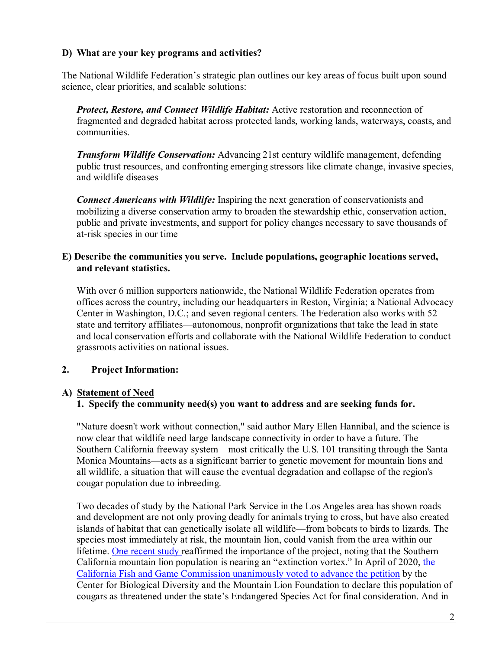#### **D) What are your key programs and activities?**

The National Wildlife Federation's strategic plan outlines our key areas of focus built upon sound science, clear priorities, and scalable solutions:

*Protect, Restore, and Connect Wildlife Habitat:* Active restoration and reconnection of fragmented and degraded habitat across protected lands, working lands, waterways, coasts, and communities.

*Transform Wildlife Conservation:* Advancing 21st century wildlife management, defending public trust resources, and confronting emerging stressors like climate change, invasive species, and wildlife diseases

*Connect Americans with Wildlife:* Inspiring the next generation of conservationists and mobilizing a diverse conservation army to broaden the stewardship ethic, conservation action, public and private investments, and support for policy changes necessary to save thousands of at-risk species in our time

#### **E) Describe the communities you serve. Include populations, geographic locations served, and relevant statistics.**

With over 6 million supporters nationwide, the National Wildlife Federation operates from offices across the country, including our headquarters in Reston, Virginia; a National Advocacy Center in Washington, D.C.; and seven regional centers. The Federation also works with 52 state and territory affiliates—autonomous, nonprofit organizations that take the lead in state and local conservation efforts and collaborate with the National Wildlife Federation to conduct grassroots activities on national issues.

#### **2. Project Information:**

#### **A) Statement of Need**

#### **1. Specify the community need(s) you want to address and are seeking funds for.**

"Nature doesn't work without connection," said author Mary Ellen Hannibal, and the science is now clear that wildlife need large landscape connectivity in order to have a future. The Southern California freeway system—most critically the U.S. 101 transiting through the Santa Monica Mountains—acts as a significant barrier to genetic movement for mountain lions and all wildlife, a situation that will cause the eventual degradation and collapse of the region's cougar population due to inbreeding.

Two decades of study by the National Park Service in the Los Angeles area has shown roads and development are not only proving deadly for animals trying to cross, but have also created islands of habitat that can genetically isolate all wildlife—from bobcats to birds to lizards. The species most immediately at risk, the mountain lion, could vanish from the area within our lifetime. [One recent study r](https://www.sciencedaily.com/releases/2019/03/190320102158.htm)eaffirmed the importance of the project, noting that the Southern California mountain lion population is nearing an "extinction vortex." In April of 2020, [the](https://www.latimes.com/environment/story/2020-04-16/state-panel-studying-threatened-species-protection-for-southern-california-cougars)  [California Fish and Game Commission unanimously voted to advance the petition](https://www.latimes.com/environment/story/2020-04-16/state-panel-studying-threatened-species-protection-for-southern-california-cougars) by the Center for Biological Diversity and the Mountain Lion Foundation to declare this population of cougars as threatened under the state's Endangered Species Act for final consideration. And in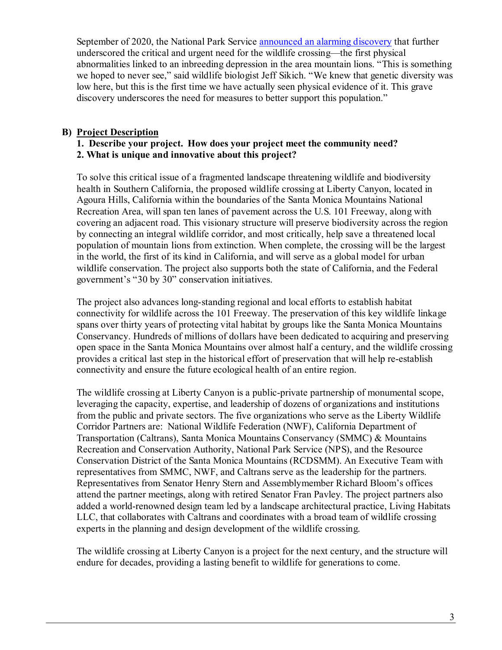September of 2020, the National Park Service [announced an alarming discovery](https://www.nps.gov/samo/learn/news/first-abnormalities-linked-to-inbreeding-depression.htm) that further underscored the critical and urgent need for the wildlife crossing—the first physical abnormalities linked to an inbreeding depression in the area mountain lions. "This is something we hoped to never see," said wildlife biologist Jeff Sikich. "We knew that genetic diversity was low here, but this is the first time we have actually seen physical evidence of it. This grave discovery underscores the need for measures to better support this population."

#### **B) Project Description**

#### **1. Describe your project. How does your project meet the community need? 2. What is unique and innovative about this project?**

To solve this critical issue of a fragmented landscape threatening wildlife and biodiversity health in Southern California, the proposed wildlife crossing at Liberty Canyon, located in Agoura Hills, California within the boundaries of the Santa Monica Mountains National Recreation Area, will span ten lanes of pavement across the U.S. 101 Freeway, along with covering an adjacent road. This visionary structure will preserve biodiversity across the region by connecting an integral wildlife corridor, and most critically, help save a threatened local population of mountain lions from extinction. When complete, the crossing will be the largest in the world, the first of its kind in California, and will serve as a global model for urban wildlife conservation. The project also supports both the state of California, and the Federal government's "30 by 30" conservation initiatives.

The project also advances long-standing regional and local efforts to establish habitat connectivity for wildlife across the 101 Freeway. The preservation of this key wildlife linkage spans over thirty years of protecting vital habitat by groups like the Santa Monica Mountains Conservancy. Hundreds of millions of dollars have been dedicated to acquiring and preserving open space in the Santa Monica Mountains over almost half a century, and the wildlife crossing provides a critical last step in the historical effort of preservation that will help re-establish connectivity and ensure the future ecological health of an entire region.

The wildlife crossing at Liberty Canyon is a public-private partnership of monumental scope, leveraging the capacity, expertise, and leadership of dozens of organizations and institutions from the public and private sectors. The five organizations who serve as the Liberty Wildlife Corridor Partners are: National Wildlife Federation (NWF), California Department of Transportation (Caltrans), Santa Monica Mountains Conservancy (SMMC) & Mountains Recreation and Conservation Authority, National Park Service (NPS), and the Resource Conservation District of the Santa Monica Mountains (RCDSMM). An Executive Team with representatives from SMMC, NWF, and Caltrans serve as the leadership for the partners. Representatives from Senator Henry Stern and Assemblymember Richard Bloom's offices attend the partner meetings, along with retired Senator Fran Pavley. The project partners also added a world-renowned design team led by a landscape architectural practice, Living Habitats LLC, that collaborates with Caltrans and coordinates with a broad team of wildlife crossing experts in the planning and design development of the wildlife crossing.

The wildlife crossing at Liberty Canyon is a project for the next century, and the structure will endure for decades, providing a lasting benefit to wildlife for generations to come.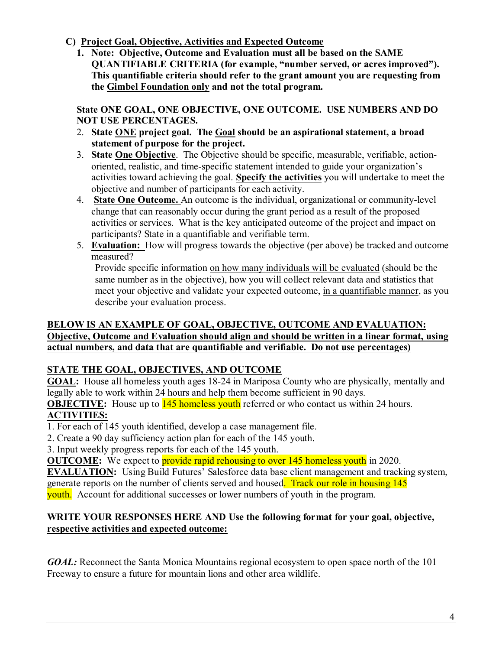- **C) Project Goal, Objective, Activities and Expected Outcome**
	- **1. Note: Objective, Outcome and Evaluation must all be based on the SAME QUANTIFIABLE CRITERIA (for example, "number served, or acres improved"). This quantifiable criteria should refer to the grant amount you are requesting from the Gimbel Foundation only and not the total program.**

**State ONE GOAL, ONE OBJECTIVE, ONE OUTCOME. USE NUMBERS AND DO NOT USE PERCENTAGES.** 

- 2. **State ONE project goal. The Goal should be an aspirational statement, a broad statement of purpose for the project.**
- 3. **State One Objective**. The Objective should be specific, measurable, verifiable, actionoriented, realistic, and time-specific statement intended to guide your organization's activities toward achieving the goal. **Specify the activities** you will undertake to meet the objective and number of participants for each activity.
- 4. **State One Outcome.** An outcome is the individual, organizational or community-level change that can reasonably occur during the grant period as a result of the proposed activities or services. What is the key anticipated outcome of the project and impact on participants? State in a quantifiable and verifiable term.
- 5. **Evaluation:** How will progress towards the objective (per above) be tracked and outcome measured?

Provide specific information on how many individuals will be evaluated (should be the same number as in the objective), how you will collect relevant data and statistics that meet your objective and validate your expected outcome, in a quantifiable manner, as you describe your evaluation process.

### **BELOW IS AN EXAMPLE OF GOAL, OBJECTIVE, OUTCOME AND EVALUATION: Objective, Outcome and Evaluation should align and should be written in a linear format, using actual numbers, and data that are quantifiable and verifiable. Do not use percentages)**

# **STATE THE GOAL, OBJECTIVES, AND OUTCOME**

**GOAL:** House all homeless youth ages 18-24 in Mariposa County who are physically, mentally and legally able to work within 24 hours and help them become sufficient in 90 days.

**OBJECTIVE:** House up to **145 homeless youth** referred or who contact us within 24 hours. **ACTIVITIES:** 

1. For each of 145 youth identified, develop a case management file.

2. Create a 90 day sufficiency action plan for each of the 145 youth.

3. Input weekly progress reports for each of the 145 youth.

**OUTCOME:** We expect to **provide rapid rehousing to over 145 homeless youth** in 2020.

**EVALUATION:** Using Build Futures' Salesforce data base client management and tracking system, generate reports on the number of clients served and housed. Track our role in housing 145 youth. Account for additional successes or lower numbers of youth in the program.

# **WRITE YOUR RESPONSES HERE AND Use the following format for your goal, objective, respective activities and expected outcome:**

*GOAL:* Reconnect the Santa Monica Mountains regional ecosystem to open space north of the 101 Freeway to ensure a future for mountain lions and other area wildlife.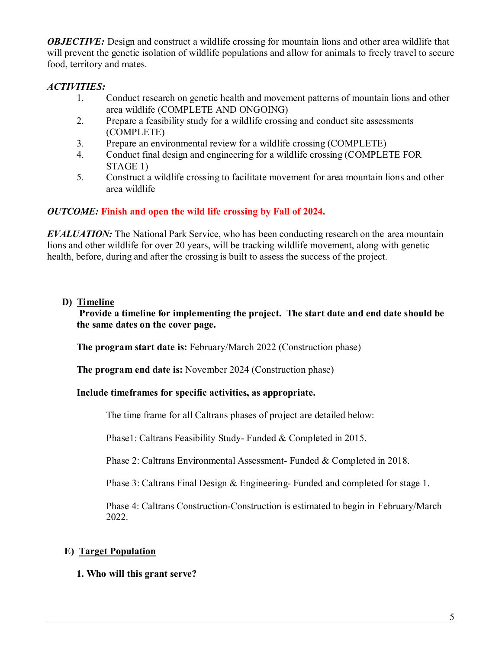*OBJECTIVE:* Design and construct a wildlife crossing for mountain lions and other area wildlife that will prevent the genetic isolation of wildlife populations and allow for animals to freely travel to secure food, territory and mates.

### *ACTIVITIES:*

- 1. Conduct research on genetic health and movement patterns of mountain lions and other area wildlife (COMPLETE AND ONGOING)
- 2. Prepare a feasibility study for a wildlife crossing and conduct site assessments (COMPLETE)
- 3. Prepare an environmental review for a wildlife crossing (COMPLETE)
- 4. Conduct final design and engineering for a wildlife crossing (COMPLETE FOR STAGE 1)
- 5. Construct a wildlife crossing to facilitate movement for area mountain lions and other area wildlife

#### *OUTCOME:* **Finish and open the wild life crossing by Fall of 2024.**

*EVALUATION:* The National Park Service, who has been conducting research on the area mountain lions and other wildlife for over 20 years, will be tracking wildlife movement, along with genetic health, before, during and after the crossing is built to assess the success of the project.

#### **D) Timeline**

**Provide a timeline for implementing the project. The start date and end date should be the same dates on the cover page.**

**The program start date is:** February/March 2022 (Construction phase)

**The program end date is:** November 2024 (Construction phase)

#### **Include timeframes for specific activities, as appropriate.**

The time frame for all Caltrans phases of project are detailed below:

Phase1: Caltrans Feasibility Study- Funded & Completed in 2015.

Phase 2: Caltrans Environmental Assessment- Funded & Completed in 2018.

Phase 3: Caltrans Final Design & Engineering- Funded and completed for stage 1.

Phase 4: Caltrans Construction-Construction is estimated to begin in February/March 2022.

# **E) Target Population**

**1. Who will this grant serve?**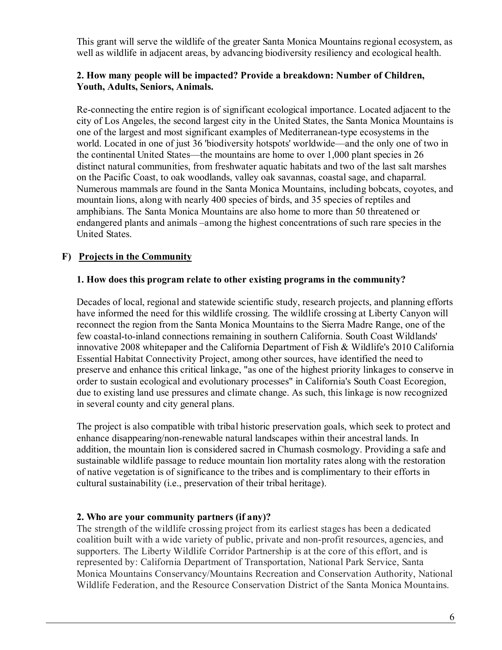This grant will serve the wildlife of the greater Santa Monica Mountains regional ecosystem, as well as wildlife in adjacent areas, by advancing biodiversity resiliency and ecological health.

#### **2. How many people will be impacted? Provide a breakdown: Number of Children, Youth, Adults, Seniors, Animals.**

Re-connecting the entire region is of significant ecological importance. Located adjacent to the city of Los Angeles, the second largest city in the United States, the Santa Monica Mountains is one of the largest and most significant examples of Mediterranean-type ecosystems in the world. Located in one of just 36 'biodiversity hotspots' worldwide—and the only one of two in the continental United States—the mountains are home to over 1,000 plant species in 26 distinct natural communities, from freshwater aquatic habitats and two of the last salt marshes on the Pacific Coast, to oak woodlands, valley oak savannas, coastal sage, and chaparral. Numerous mammals are found in the Santa Monica Mountains, including bobcats, coyotes, and mountain lions, along with nearly 400 species of birds, and 35 species of reptiles and amphibians. The Santa Monica Mountains are also home to more than 50 threatened or endangered plants and animals –among the highest concentrations of such rare species in the United States.

# **F) Projects in the Community**

#### **1. How does this program relate to other existing programs in the community?**

Decades of local, regional and statewide scientific study, research projects, and planning efforts have informed the need for this wildlife crossing. The wildlife crossing at Liberty Canyon will reconnect the region from the Santa Monica Mountains to the Sierra Madre Range, one of the few coastal-to-inland connections remaining in southern California. South Coast Wildlands' innovative 2008 whitepaper and the California Department of Fish & Wildlife's 2010 California Essential Habitat Connectivity Project, among other sources, have identified the need to preserve and enhance this critical linkage, "as one of the highest priority linkages to conserve in order to sustain ecological and evolutionary processes" in California's South Coast Ecoregion, due to existing land use pressures and climate change. As such, this linkage is now recognized in several county and city general plans.

The project is also compatible with tribal historic preservation goals, which seek to protect and enhance disappearing/non-renewable natural landscapes within their ancestral lands. In addition, the mountain lion is considered sacred in Chumash cosmology. Providing a safe and sustainable wildlife passage to reduce mountain lion mortality rates along with the restoration of native vegetation is of significance to the tribes and is complimentary to their efforts in cultural sustainability (i.e., preservation of their tribal heritage).

#### **2. Who are your community partners (if any)?**

The strength of the wildlife crossing project from its earliest stages has been a dedicated coalition built with a wide variety of public, private and non-profit resources, agencies, and supporters. The Liberty Wildlife Corridor Partnership is at the core of this effort, and is represented by: California Department of Transportation, National Park Service, Santa Monica Mountains Conservancy/Mountains Recreation and Conservation Authority, National Wildlife Federation, and the Resource Conservation District of the Santa Monica Mountains.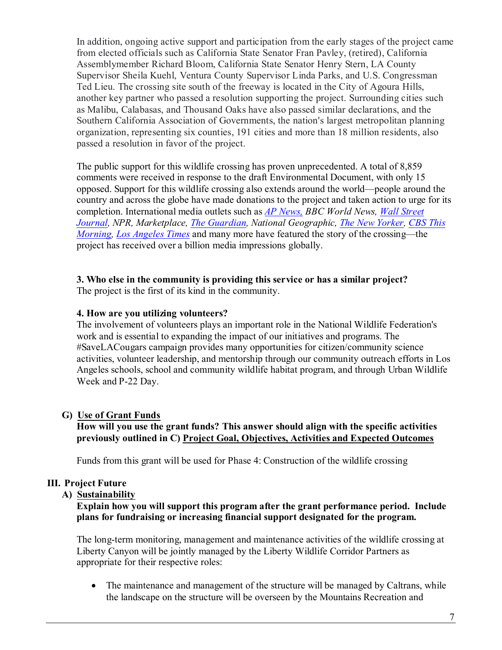In addition, ongoing active support and participation from the early stages of the project came from elected officials such as California State Senator Fran Pavley, (retired), California Assemblymember Richard Bloom, California State Senator Henry Stern, LA County Supervisor Sheila Kuehl, Ventura County Supervisor Linda Parks, and U.S. Congressman Ted Lieu. The crossing site south of the freeway is located in the City of Agoura Hills, another key partner who passed a resolution supporting the project. Surrounding cities such as Malibu, Calabasas, and Thousand Oaks have also passed similar declarations, and the Southern California Association of Governments, the nation's largest metropolitan planning organization, representing six counties, 191 cities and more than 18 million residents, also passed a resolution in favor of the project.

The public support for this wildlife crossing has proven unprecedented. A total of 8,859 comments were received in response to the draft Environmental Document, with only 15 opposed. Support for this wildlife crossing also extends around the world—people around the country and across the globe have made donations to the project and taken action to urge for its completion. International media outlets such as *[AP News,](https://apnews.com/d0bd2e4232dc4952a1db399afb257cd3) BBC World News, [Wall Street](https://www.wsj.com/articles/wildlife-crossings-get-a-whole-new-look-1497967411)  [Journal,](https://www.wsj.com/articles/wildlife-crossings-get-a-whole-new-look-1497967411) NPR, Marketplace, [The Guardian,](https://www.theguardian.com/environment/2020/feb/22/can-there-be-a-hollywood-ending-for-the-brad-pitt-of-mountain-lions-aoe) National Geographic, [The New Yorker,](https://www.newyorker.com/magazine/2017/02/13/lions-of-los-angeles) [CBS This](https://www.cbsnews.com/news/worlds-largest-highway-overpass-for-wildlife-on-track-in-california/)  [Morning,](https://www.cbsnews.com/news/worlds-largest-highway-overpass-for-wildlife-on-track-in-california/) [Los Angeles Times](https://www.latimes.com/environment/story/2021-07-04/freeway-overpass-would-save-california-cougars-from-oblivion)* and many more have featured the story of the crossing—the project has received over a billion media impressions globally.

#### **3. Who else in the community is providing this service or has a similar project?**

The project is the first of its kind in the community.

#### **4. How are you utilizing volunteers?**

The involvement of volunteers plays an important role in the National Wildlife Federation's work and is essential to expanding the impact of our initiatives and programs. The #SaveLACougars campaign provides many opportunities for citizen/community science activities, volunteer leadership, and mentorship through our community outreach efforts in Los Angeles schools, school and community wildlife habitat program, and through Urban Wildlife Week and P-22 Day.

#### **G) Use of Grant Funds**

#### **How will you use the grant funds? This answer should align with the specific activities previously outlined in C) Project Goal, Objectives, Activities and Expected Outcomes**

Funds from this grant will be used for Phase 4: Construction of the wildlife crossing

#### **III. Project Future**

#### **A) Sustainability**

#### **Explain how you will support this program after the grant performance period. Include plans for fundraising or increasing financial support designated for the program.**

The long-term monitoring, management and maintenance activities of the wildlife crossing at Liberty Canyon will be jointly managed by the Liberty Wildlife Corridor Partners as appropriate for their respective roles:

• The maintenance and management of the structure will be managed by Caltrans, while the landscape on the structure will be overseen by the Mountains Recreation and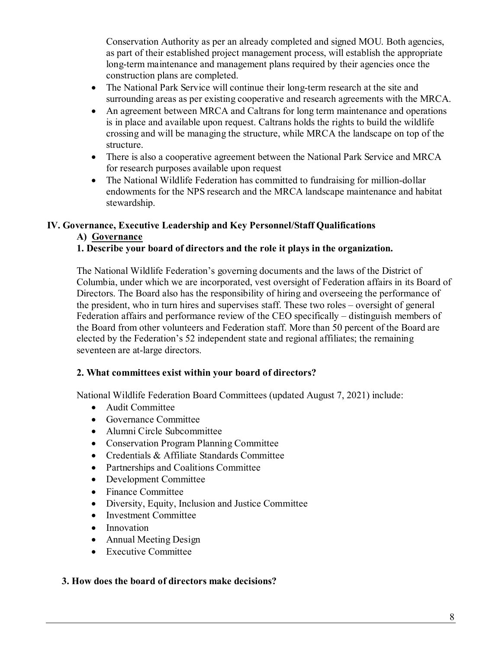Conservation Authority as per an already completed and signed MOU. Both agencies, as part of their established project management process, will establish the appropriate long-term maintenance and management plans required by their agencies once the construction plans are completed.

- The National Park Service will continue their long-term research at the site and surrounding areas as per existing cooperative and research agreements with the MRCA.
- An agreement between MRCA and Caltrans for long term maintenance and operations is in place and available upon request. Caltrans holds the rights to build the wildlife crossing and will be managing the structure, while MRCA the landscape on top of the structure.
- There is also a cooperative agreement between the National Park Service and MRCA for research purposes available upon request
- The National Wildlife Federation has committed to fundraising for million-dollar endowments for the NPS research and the MRCA landscape maintenance and habitat stewardship.

# **IV. Governance, Executive Leadership and Key Personnel/Staff Qualifications**

# **A) Governance**

# **1. Describe your board of directors and the role it plays in the organization.**

The National Wildlife Federation's governing documents and the laws of the District of Columbia, under which we are incorporated, vest oversight of Federation affairs in its Board of Directors. The Board also has the responsibility of hiring and overseeing the performance of the president, who in turn hires and supervises staff. These two roles – oversight of general Federation affairs and performance review of the CEO specifically – distinguish members of the Board from other volunteers and Federation staff. More than 50 percent of the Board are elected by the Federation's 52 independent state and regional affiliates; the remaining seventeen are at-large directors.

#### **2. What committees exist within your board of directors?**

National Wildlife Federation Board Committees (updated August 7, 2021) include:

- Audit Committee
- Governance Committee
- Alumni Circle Subcommittee
- Conservation Program Planning Committee
- Credentials & Affiliate Standards Committee
- Partnerships and Coalitions Committee
- Development Committee
- Finance Committee
- Diversity, Equity, Inclusion and Justice Committee
- Investment Committee
- Innovation
- Annual Meeting Design
- Executive Committee

#### **3. How does the board of directors make decisions?**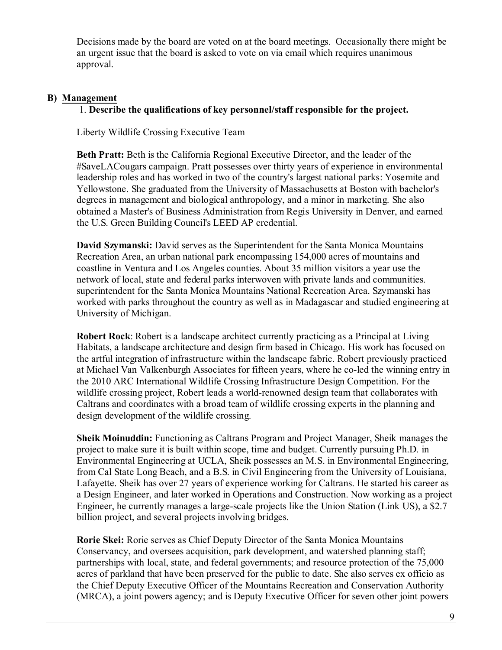Decisions made by the board are voted on at the board meetings. Occasionally there might be an urgent issue that the board is asked to vote on via email which requires unanimous approval.

#### **B) Management**

#### 1. **Describe the qualifications of key personnel/staff responsible for the project.**

Liberty Wildlife Crossing Executive Team

**Beth Pratt:** Beth is the California Regional Executive Director, and the leader of the #SaveLACougars campaign. Pratt possesses over thirty years of experience in environmental leadership roles and has worked in two of the country's largest national parks: Yosemite and Yellowstone. She graduated from the University of Massachusetts at Boston with bachelor's degrees in management and biological anthropology, and a minor in marketing. She also obtained a Master's of Business Administration from Regis University in Denver, and earned the U.S. Green Building Council's LEED AP credential.

**David Szymanski:** David serves as the Superintendent for the Santa Monica Mountains Recreation Area, an urban national park encompassing 154,000 acres of mountains and coastline in Ventura and Los Angeles counties. About 35 million visitors a year use the network of local, state and federal parks interwoven with private lands and communities. superintendent for the Santa Monica Mountains National Recreation Area. Szymanski has worked with parks throughout the country as well as in Madagascar and studied engineering at University of Michigan.

**Robert Rock**: Robert is a landscape architect currently practicing as a Principal at Living Habitats, a landscape architecture and design firm based in Chicago. His work has focused on the artful integration of infrastructure within the landscape fabric. Robert previously practiced at Michael Van Valkenburgh Associates for fifteen years, where he co-led the winning entry in the 2010 ARC International Wildlife Crossing Infrastructure Design Competition. For the wildlife crossing project, Robert leads a world-renowned design team that collaborates with Caltrans and coordinates with a broad team of wildlife crossing experts in the planning and design development of the wildlife crossing.

**Sheik Moinuddin:** Functioning as Caltrans Program and Project Manager, Sheik manages the project to make sure it is built within scope, time and budget. Currently pursuing Ph.D. in Environmental Engineering at UCLA, Sheik possesses an M.S. in Environmental Engineering, from Cal State Long Beach, and a B.S. in Civil Engineering from the University of Louisiana, Lafayette. Sheik has over 27 years of experience working for Caltrans. He started his career as a Design Engineer, and later worked in Operations and Construction. Now working as a project Engineer, he currently manages a large-scale projects like the Union Station (Link US), a \$2.7 billion project, and several projects involving bridges.

**Rorie Skei:** Rorie serves as Chief Deputy Director of the Santa Monica Mountains Conservancy, and oversees acquisition, park development, and watershed planning staff; partnerships with local, state, and federal governments; and resource protection of the 75,000 acres of parkland that have been preserved for the public to date. She also serves ex officio as the Chief Deputy Executive Officer of the Mountains Recreation and Conservation Authority (MRCA), a joint powers agency; and is Deputy Executive Officer for seven other joint powers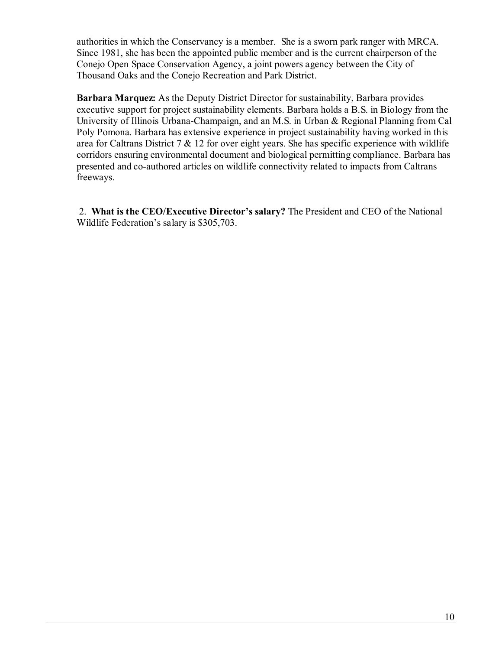authorities in which the Conservancy is a member. She is a sworn park ranger with MRCA. Since 1981, she has been the appointed public member and is the current chairperson of the Conejo Open Space Conservation Agency, a joint powers agency between the City of Thousand Oaks and the Conejo Recreation and Park District.

**Barbara Marquez:** As the Deputy District Director for sustainability, Barbara provides executive support for project sustainability elements. Barbara holds a B.S. in Biology from the University of Illinois Urbana-Champaign, and an M.S. in Urban & Regional Planning from Cal Poly Pomona. Barbara has extensive experience in project sustainability having worked in this area for Caltrans District  $7 \& 12$  for over eight years. She has specific experience with wildlife corridors ensuring environmental document and biological permitting compliance. Barbara has presented and co-authored articles on wildlife connectivity related to impacts from Caltrans freeways.

 2. **What is the CEO/Executive Director's salary?** The President and CEO of the National Wildlife Federation's salary is \$305,703.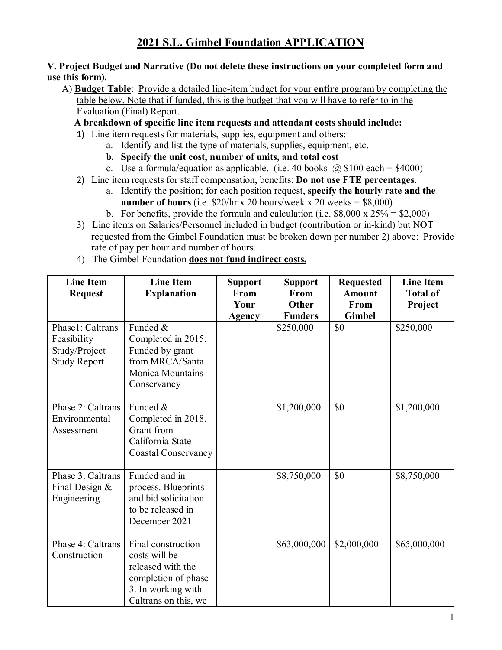#### **V. Project Budget and Narrative (Do not delete these instructions on your completed form and use this form).**

 A) **Budget Table**: Provide a detailed line-item budget for your **entire** program by completing the table below. Note that if funded, this is the budget that you will have to refer to in the Evaluation (Final) Report.

 **A breakdown of specific line item requests and attendant costs should include:**

- 1) Line item requests for materials, supplies, equipment and others:
	- a. Identify and list the type of materials, supplies, equipment, etc.
	- **b. Specify the unit cost, number of units, and total cost**
	- c. Use a formula/equation as applicable. (i.e. 40 books  $\omega$  \$100 each = \$4000)
- 2) Line item requests for staff compensation, benefits: **Do not use FTE percentages**.
	- a. Identify the position; for each position request, **specify the hourly rate and the number of hours** (i.e.  $$20/hr \times 20 hours/week \times 20 weeks = $8,000)$ )
	- b. For benefits, provide the formula and calculation (i.e.  $$8,000 \times 25\% = $2,000$ )
- 3) Line items on Salaries/Personnel included in budget (contribution or in-kind) but NOT requested from the Gimbel Foundation must be broken down per number 2) above: Provide rate of pay per hour and number of hours.
- 4) The Gimbel Foundation **does not fund indirect costs.**

| <b>Line Item</b><br><b>Request</b>                                      | <b>Line Item</b><br><b>Explanation</b>                                                                                        | <b>Support</b><br>From | <b>Support</b><br>From  | <b>Requested</b><br><b>Amount</b> | <b>Line Item</b><br><b>Total of</b> |
|-------------------------------------------------------------------------|-------------------------------------------------------------------------------------------------------------------------------|------------------------|-------------------------|-----------------------------------|-------------------------------------|
|                                                                         |                                                                                                                               | Your<br>Agency         | Other<br><b>Funders</b> | From<br><b>Gimbel</b>             | Project                             |
| Phase1: Caltrans<br>Feasibility<br>Study/Project<br><b>Study Report</b> | Funded &<br>Completed in 2015.<br>Funded by grant<br>from MRCA/Santa<br><b>Monica Mountains</b><br>Conservancy                |                        | \$250,000               | \$0                               | \$250,000                           |
| Phase 2: Caltrans<br>Environmental<br>Assessment                        | Funded &<br>Completed in 2018.<br>Grant from<br>California State<br><b>Coastal Conservancy</b>                                |                        | \$1,200,000             | \$0                               | \$1,200,000                         |
| Phase 3: Caltrans<br>Final Design &<br>Engineering                      | Funded and in<br>process. Blueprints<br>and bid solicitation<br>to be released in<br>December 2021                            |                        | \$8,750,000             | \$0                               | \$8,750,000                         |
| Phase 4: Caltrans<br>Construction                                       | Final construction<br>costs will be<br>released with the<br>completion of phase<br>3. In working with<br>Caltrans on this, we |                        | \$63,000,000            | \$2,000,000                       | \$65,000,000                        |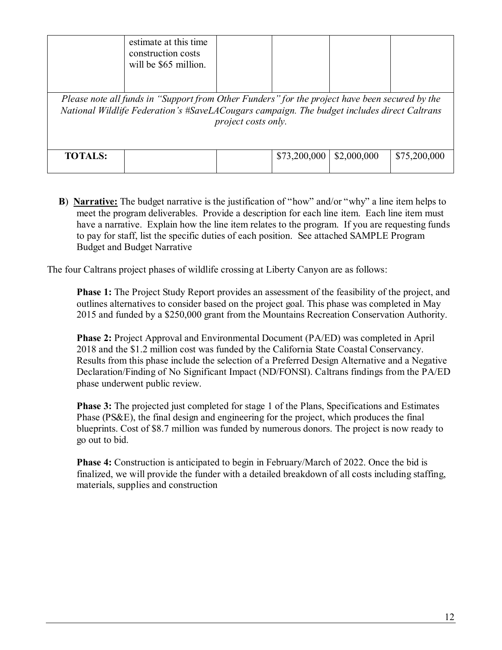|                | estimate at this time<br>construction costs<br>will be \$65 million.                                                                                                                          |                     |              |             |              |
|----------------|-----------------------------------------------------------------------------------------------------------------------------------------------------------------------------------------------|---------------------|--------------|-------------|--------------|
|                | Please note all funds in "Support from Other Funders" for the project have been secured by the<br>National Wildlife Federation's #SaveLACougars campaign. The budget includes direct Caltrans | project costs only. |              |             |              |
| <b>TOTALS:</b> |                                                                                                                                                                                               |                     | \$73,200,000 | \$2,000,000 | \$75,200,000 |

 **B**) **Narrative:** The budget narrative is the justification of "how" and/or "why" a line item helps to meet the program deliverables. Provide a description for each line item. Each line item must have a narrative. Explain how the line item relates to the program. If you are requesting funds to pay for staff, list the specific duties of each position. See attached SAMPLE Program Budget and Budget Narrative

The four Caltrans project phases of wildlife crossing at Liberty Canyon are as follows:

**Phase 1:** The Project Study Report provides an assessment of the feasibility of the project, and outlines alternatives to consider based on the project goal. This phase was completed in May 2015 and funded by a \$250,000 grant from the Mountains Recreation Conservation Authority.

**Phase 2:** Project Approval and Environmental Document (PA/ED) was completed in April 2018 and the \$1.2 million cost was funded by the California State Coastal Conservancy. Results from this phase include the selection of a Preferred Design Alternative and a Negative Declaration/Finding of No Significant Impact (ND/FONSI). Caltrans findings from the PA/ED phase underwent public review.

**Phase 3:** The projected just completed for stage 1 of the Plans, Specifications and Estimates Phase (PS&E), the final design and engineering for the project, which produces the final blueprints. Cost of \$8.7 million was funded by numerous donors. The project is now ready to go out to bid.

**Phase 4:** Construction is anticipated to begin in February/March of 2022. Once the bid is finalized, we will provide the funder with a detailed breakdown of all costs including staffing, materials, supplies and construction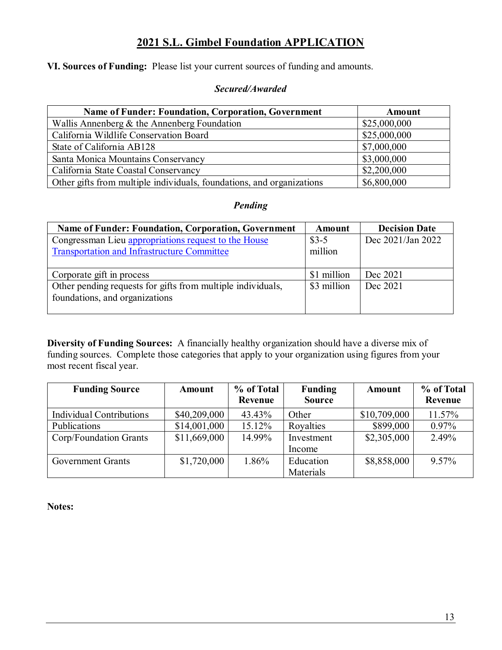**VI. Sources of Funding:** Please list your current sources of funding and amounts.

#### *Secured/Awarded*

| <b>Name of Funder: Foundation, Corporation, Government</b>            | Amount       |
|-----------------------------------------------------------------------|--------------|
| Wallis Annenberg $\&$ the Annenberg Foundation                        | \$25,000,000 |
| California Wildlife Conservation Board                                | \$25,000,000 |
| State of California AB128                                             | \$7,000,000  |
| Santa Monica Mountains Conservancy                                    | \$3,000,000  |
| California State Coastal Conservancy                                  | \$2,200,000  |
| Other gifts from multiple individuals, foundations, and organizations | \$6,800,000  |

# *Pending*

| <b>Name of Funder: Foundation, Corporation, Government</b>  | Amount      | <b>Decision Date</b> |
|-------------------------------------------------------------|-------------|----------------------|
| Congressman Lieu appropriations request to the House        | $$3-5$      | Dec 2021/Jan 2022    |
| <b>Transportation and Infrastructure Committee</b>          | million     |                      |
|                                                             |             |                      |
| Corporate gift in process                                   | \$1 million | Dec 2021             |
| Other pending requests for gifts from multiple individuals, | \$3 million | Dec 2021             |
| foundations, and organizations                              |             |                      |
|                                                             |             |                      |

**Diversity of Funding Sources:** A financially healthy organization should have a diverse mix of funding sources. Complete those categories that apply to your organization using figures from your most recent fiscal year.

| <b>Funding Source</b>           | Amount       | % of Total<br>Revenue | <b>Funding</b><br><b>Source</b> | Amount       | % of Total<br>Revenue |
|---------------------------------|--------------|-----------------------|---------------------------------|--------------|-----------------------|
| <b>Individual Contributions</b> | \$40,209,000 | 43.43%                | Other                           | \$10,709,000 | 11.57%                |
| Publications                    | \$14,001,000 | 15.12%                | Royalties                       | \$899,000    | $0.97\%$              |
| Corp/Foundation Grants          | \$11,669,000 | 14.99%                | Investment<br>Income            | \$2,305,000  | 2.49%                 |
| <b>Government Grants</b>        | \$1,720,000  | 1.86%                 | Education<br>Materials          | \$8,858,000  | 9.57%                 |

**Notes:**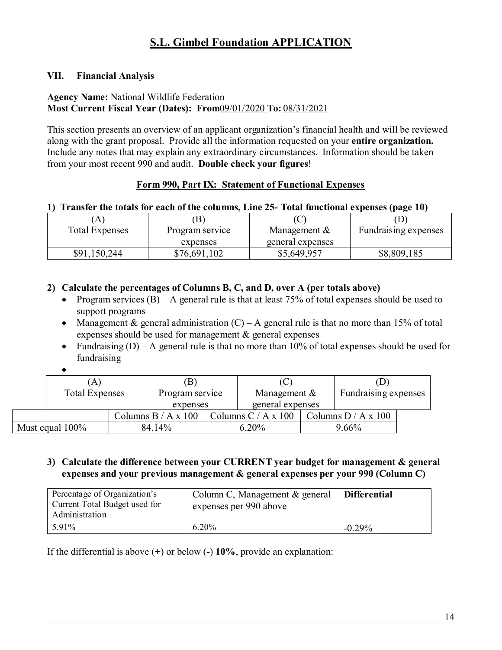### **VII. Financial Analysis**

# **Agency Name:** National Wildlife Federation

**Most Current Fiscal Year (Dates): From**09/01/2020 **To:** 08/31/2021

This section presents an overview of an applicant organization's financial health and will be reviewed along with the grant proposal. Provide all the information requested on your **entire organization.**  Include any notes that may explain any extraordinary circumstances. Information should be taken from your most recent 990 and audit. **Double check your figures**!

# **Form 990, Part IX: Statement of Functional Expenses**

#### **1) Transfer the totals for each of the columns, Line 25- Total functional expenses (page 10)**

| A                     | B               |                  |                      |
|-----------------------|-----------------|------------------|----------------------|
| <b>Total Expenses</b> | Program service | Management &     | Fundraising expenses |
|                       | expenses        | general expenses |                      |
| \$91,150,244          | \$76,691,102    | \$5,649,957      | \$8,809,185          |

# **2) Calculate the percentages of Columns B, C, and D, over A (per totals above)**

- Program services  $(B)$  A general rule is that at least 75% of total expenses should be used to support programs
- Management & general administration  $(C) A$  general rule is that no more than 15% of total expenses should be used for management & general expenses
- Fundraising  $(D) A$  general rule is that no more than 10% of total expenses should be used for fundraising
- •

|          | (A)                   |                       |                                           | (D                   |  |
|----------|-----------------------|-----------------------|-------------------------------------------|----------------------|--|
|          | <b>Total Expenses</b> | Program service       | Management $&$                            | Fundraising expenses |  |
| expenses |                       | general expenses      |                                           |                      |  |
|          |                       | Columns $B / A x 100$ | Columns C / A x 100   Columns D / A x 100 |                      |  |
|          | Must equal $100\%$    | 84.14%                | $6.20\%$                                  | 9.66%                |  |

#### **3) Calculate the difference between your CURRENT year budget for management & general expenses and your previous management & general expenses per your 990 (Column C)**

| Percentage of Organization's<br><b>Current</b> Total Budget used for<br>Administration | Column C, Management & general<br>expenses per 990 above | <b>Differential</b> |
|----------------------------------------------------------------------------------------|----------------------------------------------------------|---------------------|
| 5.91%                                                                                  | 6.20%                                                    | $-0.29\%$           |

If the differential is above (**+**) or below (**-**) **10%**, provide an explanation: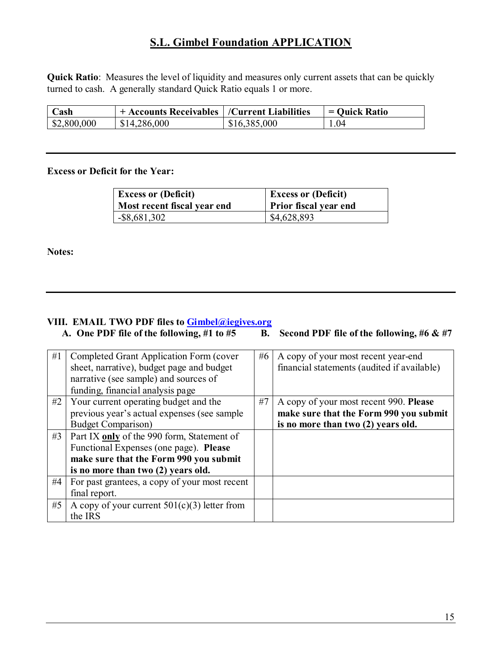**Quick Ratio**: Measures the level of liquidity and measures only current assets that can be quickly turned to cash. A generally standard Quick Ratio equals 1 or more.

| $\mathbb C$ ash       | + Accounts Receivables   /Current Liabilities |              | $=$ Quick Ratio |
|-----------------------|-----------------------------------------------|--------------|-----------------|
| $\frac{$2,800,000}{}$ | \$14,286,000                                  | \$16,385,000 | .04             |

#### **Excess or Deficit for the Year:**

| <b>Excess or (Deficit)</b>  | <b>Excess or (Deficit)</b>   |  |  |
|-----------------------------|------------------------------|--|--|
| Most recent fiscal year end | <b>Prior fiscal year end</b> |  |  |
| $-$ \$8,681,302             | \$4,628,893                  |  |  |

**Notes:**

# **VIII. EMAIL TWO PDF files to [Gimbel@iegives.org](mailto:Gimbel@iegives.org)**

A. One PDF file of the following, #1 to #5 B. Second PDF file of the following, #6 & #7

| #1 | Completed Grant Application Form (cover<br>sheet, narrative), budget page and budget<br>narrative (see sample) and sources of<br>funding, financial analysis page | #6 | A copy of your most recent year-end<br>financial statements (audited if available) |
|----|-------------------------------------------------------------------------------------------------------------------------------------------------------------------|----|------------------------------------------------------------------------------------|
| #2 | Your current operating budget and the                                                                                                                             | #7 | A copy of your most recent 990. Please                                             |
|    | previous year's actual expenses (see sample                                                                                                                       |    | make sure that the Form 990 you submit                                             |
|    | <b>Budget Comparison</b> )                                                                                                                                        |    | is no more than two (2) years old.                                                 |
| #3 | Part IX only of the 990 form, Statement of                                                                                                                        |    |                                                                                    |
|    | Functional Expenses (one page). Please                                                                                                                            |    |                                                                                    |
|    | make sure that the Form 990 you submit                                                                                                                            |    |                                                                                    |
|    | is no more than two (2) years old.                                                                                                                                |    |                                                                                    |
| #4 | For past grantees, a copy of your most recent                                                                                                                     |    |                                                                                    |
|    | final report.                                                                                                                                                     |    |                                                                                    |
| #5 | A copy of your current $501(c)(3)$ letter from                                                                                                                    |    |                                                                                    |
|    | the IRS                                                                                                                                                           |    |                                                                                    |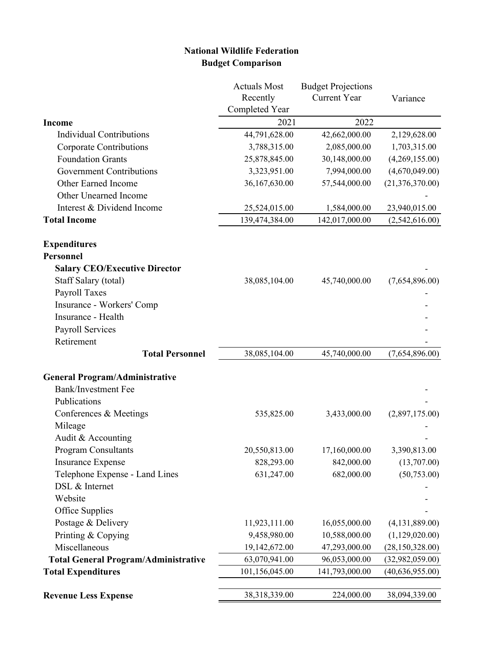# **National Wildlife Federation Budget Comparison**

|                                             | <b>Actuals Most</b> | <b>Budget Projections</b> |                   |
|---------------------------------------------|---------------------|---------------------------|-------------------|
|                                             | Recently            | <b>Current Year</b>       | Variance          |
|                                             | Completed Year      |                           |                   |
| <b>Income</b>                               | 2021                | 2022                      |                   |
| <b>Individual Contributions</b>             | 44,791,628.00       | 42,662,000.00             | 2,129,628.00      |
| Corporate Contributions                     | 3,788,315.00        | 2,085,000.00              | 1,703,315.00      |
| <b>Foundation Grants</b>                    | 25,878,845.00       | 30,148,000.00             | (4,269,155.00)    |
| <b>Government Contributions</b>             | 3,323,951.00        | 7,994,000.00              | (4,670,049.00)    |
| Other Earned Income                         | 36,167,630.00       | 57,544,000.00             | (21, 376, 370.00) |
| Other Unearned Income                       |                     |                           |                   |
| Interest & Dividend Income                  | 25,524,015.00       | 1,584,000.00              | 23,940,015.00     |
| <b>Total Income</b>                         | 139,474,384.00      | 142,017,000.00            | (2,542,616.00)    |
| <b>Expenditures</b>                         |                     |                           |                   |
| <b>Personnel</b>                            |                     |                           |                   |
| <b>Salary CEO/Executive Director</b>        |                     |                           |                   |
| Staff Salary (total)                        | 38,085,104.00       | 45,740,000.00             | (7,654,896.00)    |
| Payroll Taxes                               |                     |                           |                   |
| Insurance - Workers' Comp                   |                     |                           |                   |
| Insurance - Health                          |                     |                           |                   |
| Payroll Services                            |                     |                           |                   |
| Retirement                                  |                     |                           |                   |
| <b>Total Personnel</b>                      | 38,085,104.00       | 45,740,000.00             | (7,654,896.00)    |
| <b>General Program/Administrative</b>       |                     |                           |                   |
| <b>Bank/Investment Fee</b>                  |                     |                           |                   |
| Publications                                |                     |                           |                   |
| Conferences & Meetings                      | 535,825.00          | 3,433,000.00              | (2,897,175.00)    |
| Mileage                                     |                     |                           |                   |
| Audit & Accounting                          |                     |                           |                   |
| <b>Program Consultants</b>                  | 20,550,813.00       | 17,160,000.00             | 3,390,813.00      |
| <b>Insurance Expense</b>                    | 828,293.00          | 842,000.00                | (13,707.00)       |
| Telephone Expense - Land Lines              | 631,247.00          | 682,000.00                | (50,753.00)       |
| DSL & Internet                              |                     |                           |                   |
| Website                                     |                     |                           |                   |
| Office Supplies                             |                     |                           |                   |
| Postage & Delivery                          | 11,923,111.00       | 16,055,000.00             | (4, 131, 889.00)  |
| Printing & Copying                          | 9,458,980.00        | 10,588,000.00             | (1,129,020.00)    |
| Miscellaneous                               | 19,142,672.00       | 47,293,000.00             | (28, 150, 328.00) |
| <b>Total General Program/Administrative</b> | 63,070,941.00       | 96,053,000.00             | (32,982,059.00)   |
| <b>Total Expenditures</b>                   | 101,156,045.00      | 141,793,000.00            | (40,636,955.00)   |
| <b>Revenue Less Expense</b>                 | 38,318,339.00       | 224,000.00                | 38,094,339.00     |
|                                             |                     |                           |                   |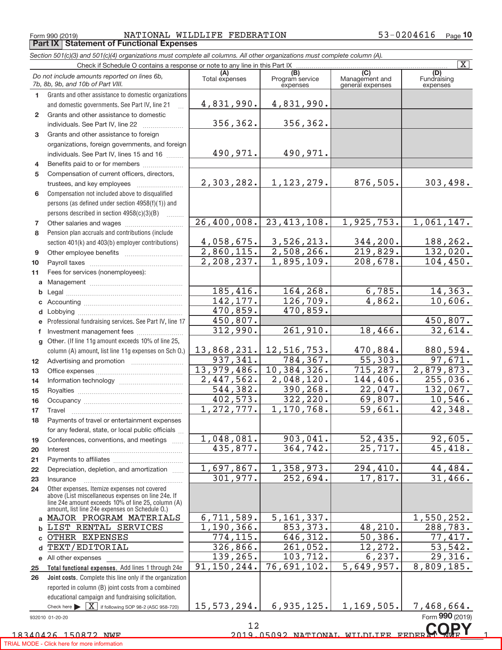Form 990 (2019) **NATIONAL WILD**<br>**Part IX | Statement of Functional Expenses** NATIONAL WILDLIFE FEDERATION

| Section 501(c)(3) and 501(c)(4) organizations must complete all columns. All other organizations must complete column (A). |  |  |
|----------------------------------------------------------------------------------------------------------------------------|--|--|
|                                                                                                                            |  |  |

| $\overline{\mathbf{X}}$<br>Check if Schedule O contains a response or note to any line in this Part IX |                                                                                                          |                         |                                                 |                                           |                                |
|--------------------------------------------------------------------------------------------------------|----------------------------------------------------------------------------------------------------------|-------------------------|-------------------------------------------------|-------------------------------------------|--------------------------------|
| Do not include amounts reported on lines 6b,<br>7b, 8b, 9b, and 10b of Part VIII.                      |                                                                                                          | (A)<br>Total expenses   | $\overline{(B)}$<br>Program service<br>expenses | (C)<br>Management and<br>general expenses | (D)<br>Fundraising<br>expenses |
| 1.                                                                                                     | Grants and other assistance to domestic organizations                                                    |                         |                                                 |                                           |                                |
|                                                                                                        | and domestic governments. See Part IV, line 21                                                           | 4,831,990.              | 4,831,990.                                      |                                           |                                |
| $\mathbf{2}$                                                                                           | Grants and other assistance to domestic                                                                  |                         |                                                 |                                           |                                |
|                                                                                                        | individuals. See Part IV, line 22                                                                        | 356,362.                | 356,362.                                        |                                           |                                |
| 3                                                                                                      | Grants and other assistance to foreign                                                                   |                         |                                                 |                                           |                                |
|                                                                                                        | organizations, foreign governments, and foreign                                                          |                         |                                                 |                                           |                                |
|                                                                                                        | individuals. See Part IV, lines 15 and 16                                                                | 490,971.                | 490,971.                                        |                                           |                                |
| 4                                                                                                      | Benefits paid to or for members                                                                          |                         |                                                 |                                           |                                |
| 5                                                                                                      | Compensation of current officers, directors,                                                             |                         |                                                 |                                           |                                |
|                                                                                                        |                                                                                                          | 2,303,282.              | 1, 123, 279.                                    | 876,505.                                  | 303,498.                       |
| 6                                                                                                      | Compensation not included above to disqualified                                                          |                         |                                                 |                                           |                                |
|                                                                                                        | persons (as defined under section 4958(f)(1)) and                                                        |                         |                                                 |                                           |                                |
|                                                                                                        | persons described in section 4958(c)(3)(B)                                                               |                         |                                                 |                                           |                                |
| 7                                                                                                      |                                                                                                          | 26,400,008.             | 23,413,108.                                     | 1,925,753.                                | 1,061,147.                     |
| 8                                                                                                      | Pension plan accruals and contributions (include                                                         |                         |                                                 |                                           |                                |
|                                                                                                        | section 401(k) and 403(b) employer contributions)                                                        | 4,058,675.              | 3,526,213.                                      | 344, 200.                                 | 188,262.                       |
| 9                                                                                                      |                                                                                                          | 2,860,115.              | 2,508,266.                                      | 219,829.                                  | 132,020.                       |
| 10                                                                                                     |                                                                                                          | 2, 208, 237.            | 1,895,109.                                      | 208,678.                                  | 104, 450.                      |
| 11                                                                                                     | Fees for services (nonemployees):                                                                        |                         |                                                 |                                           |                                |
| a                                                                                                      |                                                                                                          |                         |                                                 |                                           |                                |
| b                                                                                                      |                                                                                                          | 185,416.                | 164, 268.                                       | 6,785.                                    | 14,363.                        |
| c                                                                                                      |                                                                                                          | 142, 177.               | 126,709.                                        | 4,862.                                    | 10,606.                        |
| d                                                                                                      |                                                                                                          | 470,859.                | 470,859.                                        |                                           |                                |
| e                                                                                                      | Professional fundraising services. See Part IV, line 17                                                  | 450,807.                |                                                 |                                           | 450,807.                       |
| f                                                                                                      | Investment management fees                                                                               | 312,990.                | 261,910.                                        | 18,466.                                   | 32,614.                        |
| $\mathbf{q}$                                                                                           | Other. (If line 11g amount exceeds 10% of line 25,                                                       |                         |                                                 |                                           |                                |
|                                                                                                        | column (A) amount, list line 11g expenses on Sch O.)                                                     | 13,868,231.<br>937,341. | 12,516,753.<br>784, 367.                        | 470,884.<br>55,303.                       | 880,594.<br>97,671.            |
| 12 <sup>°</sup>                                                                                        |                                                                                                          | 13,979,486.             | 10,384,326.                                     | 715, 287.                                 | 2,879,873.                     |
| 13                                                                                                     |                                                                                                          | 2,447,562.              | 2,048,120.                                      | 144,406.                                  | 255,036.                       |
| 14                                                                                                     |                                                                                                          | 544, 382.               | 390, 268.                                       | 22,047.                                   | $\overline{132,067}$ .         |
| 15                                                                                                     |                                                                                                          | 402,573.                | 322, 220.                                       | 69,807.                                   | 10,546.                        |
| 16                                                                                                     |                                                                                                          | 1, 272, 777.            | 1,170,768.                                      | 59,661.                                   | 42,348.                        |
| 17<br>18                                                                                               | Travel<br>Payments of travel or entertainment expenses                                                   |                         |                                                 |                                           |                                |
|                                                                                                        | for any federal, state, or local public officials                                                        |                         |                                                 |                                           |                                |
| 19                                                                                                     | Conferences, conventions, and meetings                                                                   | 1,048,081.              | 903,041.                                        | 52,435.                                   | 92,605.                        |
| 20                                                                                                     | Interest                                                                                                 | 435,877.                | 364,742.                                        | 25,717.                                   | 45, 418.                       |
| 21                                                                                                     |                                                                                                          |                         |                                                 |                                           |                                |
| 22                                                                                                     | Depreciation, depletion, and amortization                                                                | 1,697,867.              | 1,358,973.                                      | 294,410.                                  | 44,484.                        |
| 23                                                                                                     | Insurance                                                                                                | 301,977.                | 252,694.                                        | 17,817.                                   | 31,466.                        |
| 24                                                                                                     | Other expenses. Itemize expenses not covered                                                             |                         |                                                 |                                           |                                |
|                                                                                                        | above (List miscellaneous expenses on line 24e. If<br>line 24e amount exceeds 10% of line 25, column (A) |                         |                                                 |                                           |                                |
|                                                                                                        | amount, list line 24e expenses on Schedule O.)                                                           |                         |                                                 |                                           |                                |
| a                                                                                                      | MAJOR PROGRAM MATERIALS                                                                                  | 6,711,589.              | 5, 161, 337.                                    |                                           | 1,550,252.                     |
| b                                                                                                      | LIST RENTAL SERVICES                                                                                     | 1,190,366.              | 853, 373.                                       | 48, 210.                                  | 288, 783.                      |
| C                                                                                                      | OTHER EXPENSES                                                                                           | 774,115.                | 646,312.                                        | 50,386.                                   | 77,417.                        |
| d                                                                                                      | <b>TEXT/EDITORIAL</b>                                                                                    | 326,866.                | 261,052.                                        | 12, 272.                                  | 53, 542.                       |
|                                                                                                        | e All other expenses                                                                                     | 139,265.                | 103, 712.                                       | 6, 237.                                   | 29,316.                        |
| 25                                                                                                     | Total functional expenses. Add lines 1 through 24e                                                       | 91,150,244.             | 76,691,102.                                     | 5,649,957.                                | 8,809,185.                     |
| 26                                                                                                     | Joint costs. Complete this line only if the organization                                                 |                         |                                                 |                                           |                                |
|                                                                                                        | reported in column (B) joint costs from a combined                                                       |                         |                                                 |                                           |                                |
|                                                                                                        | educational campaign and fundraising solicitation.                                                       | 15, 573, 294.           | 6,935,125.                                      | 1, 169, 505.                              | 7,468,664.                     |
|                                                                                                        | Check here $\blacktriangleright \boxed{\textbf{X}}$ if following SOP 98-2 (ASC 958-720)                  |                         |                                                 |                                           | Form 990 (2019)                |
|                                                                                                        | 932010 01-20-20                                                                                          |                         |                                                 |                                           |                                |

932010 01-20-20

 $\overline{1}$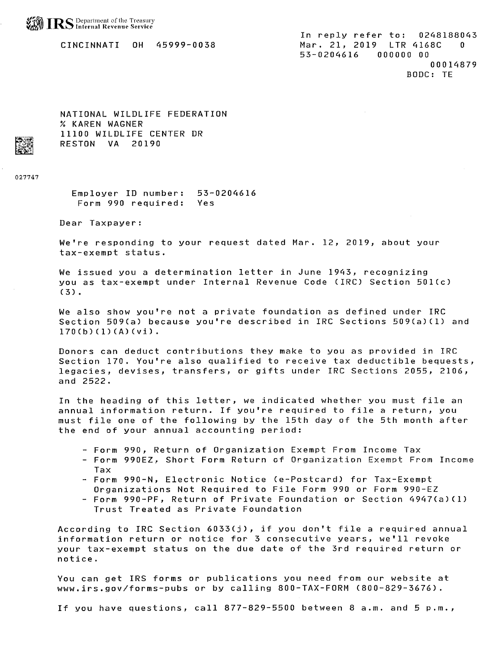

CINCINNATI OH 45999-0038

In reply refer to: 0248188043 Mar. 21, 2019 LTR 4168C  $\mathbf{r}$ 53-0204616 000000 00 00014879 BODC: TE

NATIONAL WILDLIFE FEDERATION % KAREN WAGNER 11100 WILDLIFE CENTER DR **RESTON VA 20190** 

027747

Emplover ID number: 53-0204616 Form 990 required: Yes

Dear Taxpayer:

We're responding to your request dated Mar. 12, 2019, about your tax-exempt status.

We issued you a determination letter in June 1943, recognizing vou as tax-exempt under Internal Revenue Code (IRC) Section 501(c)  $(3)$ .

We also show you're not a private foundation as defined under IRC Section 509(a) because you're described in IRC Sections 509(a)(1) and  $170(b)(1)(A)(v_i)$ .

Donors can deduct contributions they make to you as provided in IRC Section 170. You're also qualified to receive tax deductible bequests, legacies, devises, transfers, or gifts under IRC Sections 2055, 2106, and 2522.

In the heading of this letter, we indicated whether you must file an annual information return. If you're required to file a return, you must file one of the following by the 15th day of the 5th month after the end of your annual accounting period:

- Form 990, Return of Organization Exempt From Income Tax
- Form 990EZ, Short Form Return of Organization Exempt From Income Tax
- Form 990-N, Electronic Notice (e-Postcard) for Tax-Exempt
- Organizations Not Required to File Form 990 or Form 990-EZ
- Form 990-PF, Return of Private Foundation or Section 4947(a)(1) Trust Treated as Private Foundation

According to IRC Section 6033(j), if you don't file a required annual information return or notice for 3 consecutive years, we'll revoke your tax-exempt status on the due date of the 3rd required return or notice.

You can get IRS forms or publications you need from our website at www.irs.gov/forms-pubs or by calling 800-TAX-FORM (800-829-3676).

If you have questions, call 877-829-5500 between 8 a.m. and 5 p.m.,